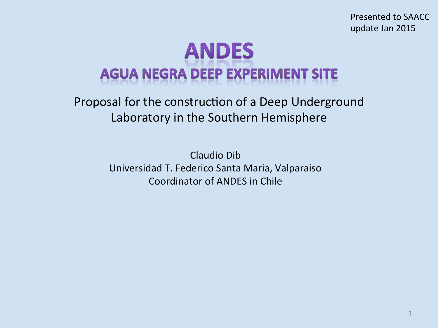Presented to SAACC update Jan 2015 

# **ANDES AGUA NEGRA DEEP EXPERIMENT SITE**

Proposal for the construction of a Deep Underground Laboratory in the Southern Hemisphere

> Claudio Dib Universidad T. Federico Santa Maria, Valparaiso Coordinator of ANDES in Chile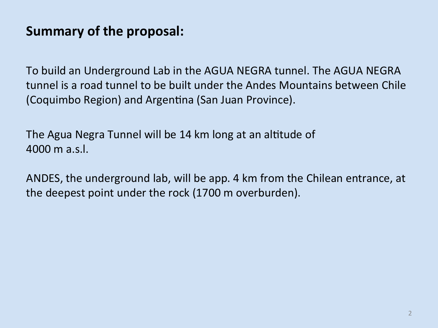## **Summary of the proposal:**

To build an Underground Lab in the AGUA NEGRA tunnel. The AGUA NEGRA tunnel is a road tunnel to be built under the Andes Mountains between Chile (Coquimbo Region) and Argentina (San Juan Province).

The Agua Negra Tunnel will be 14 km long at an altitude of  $4000 \text{ m}$  a.s.l.

ANDES, the underground lab, will be app. 4 km from the Chilean entrance, at the deepest point under the rock (1700 m overburden).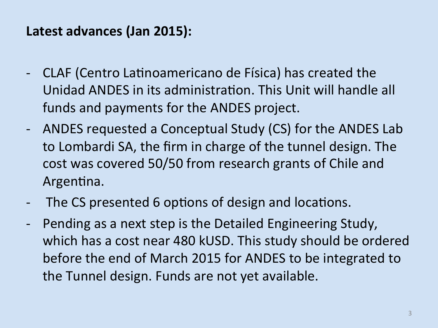#### Latest advances (Jan 2015):

- CLAF (Centro Latinoamericano de Física) has created the Unidad ANDES in its administration. This Unit will handle all funds and payments for the ANDES project.
- ANDES requested a Conceptual Study (CS) for the ANDES Lab to Lombardi SA, the firm in charge of the tunnel design. The cost was covered 50/50 from research grants of Chile and Argentina.
- The CS presented 6 options of design and locations.
- Pending as a next step is the Detailed Engineering Study, which has a cost near 480 kUSD. This study should be ordered before the end of March 2015 for ANDES to be integrated to the Tunnel design. Funds are not yet available.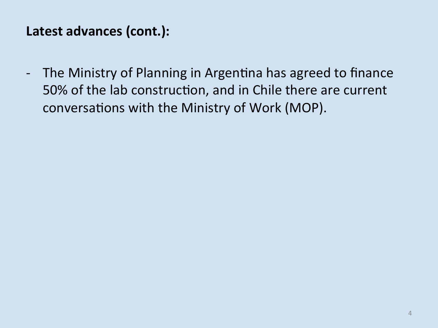#### Latest advances (cont.):

- The Ministry of Planning in Argentina has agreed to finance 50% of the lab construction, and in Chile there are current conversations with the Ministry of Work (MOP).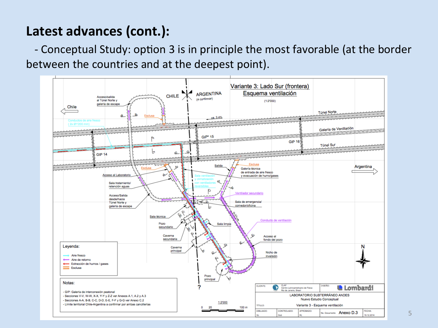## Latest advances (cont.):

- Conceptual Study: option 3 is in principle the most favorable (at the border between the countries and at the deepest point).